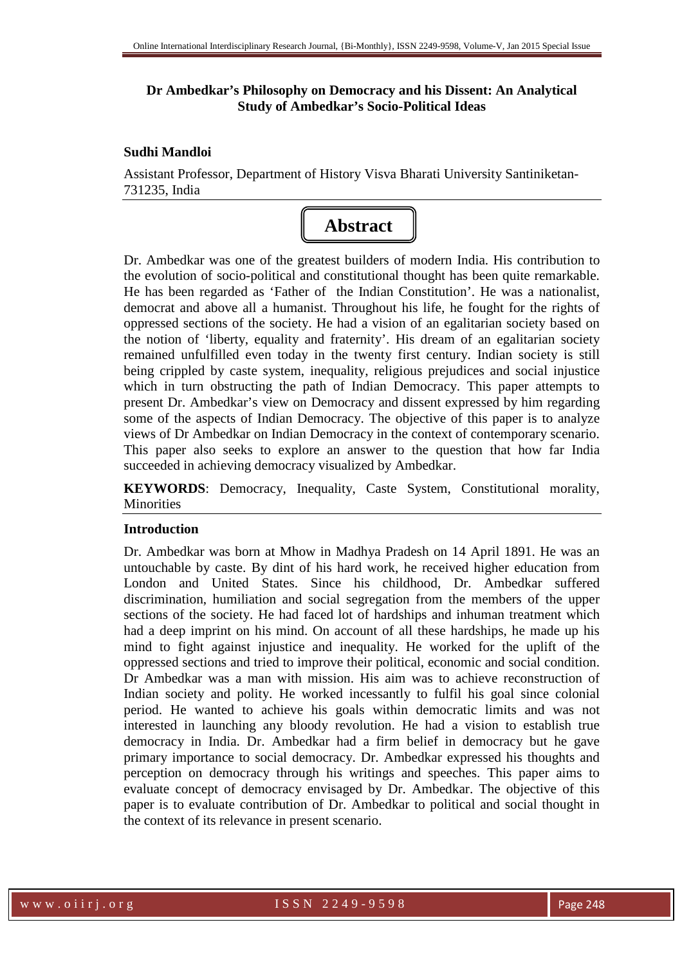# **Dr Ambedkar's Philosophy on Democracy and his Dissent: An Analytical Study of Ambedkar's Socio-Political Ideas**

# **Sudhi Mandloi**

Assistant Professor, Department of History Visva Bharati University Santiniketan-731235, India



Dr. Ambedkar was one of the greatest builders of modern India. His contribution to the evolution of socio-political and constitutional thought has been quite remarkable. He has been regarded as 'Father of the Indian Constitution'. He was a nationalist, democrat and above all a humanist. Throughout his life, he fought for the rights of oppressed sections of the society. He had a vision of an egalitarian society based on the notion of 'liberty, equality and fraternity'. His dream of an egalitarian society remained unfulfilled even today in the twenty first century. Indian society is still being crippled by caste system, inequality, religious prejudices and social injustice which in turn obstructing the path of Indian Democracy. This paper attempts to present Dr. Ambedkar's view on Democracy and dissent expressed by him regarding some of the aspects of Indian Democracy. The objective of this paper is to analyze views of Dr Ambedkar on Indian Democracy in the context of contemporary scenario. This paper also seeks to explore an answer to the question that how far India succeeded in achieving democracy visualized by Ambedkar.

**KEYWORDS**: Democracy, Inequality, Caste System, Constitutional morality, Minorities

# **Introduction**

Dr. Ambedkar was born at Mhow in Madhya Pradesh on 14 April 1891. He was an untouchable by caste. By dint of his hard work, he received higher education from London and United States. Since his childhood, Dr. Ambedkar suffered discrimination, humiliation and social segregation from the members of the upper sections of the society. He had faced lot of hardships and inhuman treatment which had a deep imprint on his mind. On account of all these hardships, he made up his mind to fight against injustice and inequality. He worked for the uplift of the oppressed sections and tried to improve their political, economic and social condition. Dr Ambedkar was a man with mission. His aim was to achieve reconstruction of Indian society and polity. He worked incessantly to fulfil his goal since colonial period. He wanted to achieve his goals within democratic limits and was not interested in launching any bloody revolution. He had a vision to establish true democracy in India. Dr. Ambedkar had a firm belief in democracy but he gave primary importance to social democracy. Dr. Ambedkar expressed his thoughts and perception on democracy through his writings and speeches. This paper aims to evaluate concept of democracy envisaged by Dr. Ambedkar. The objective of this paper is to evaluate contribution of Dr. Ambedkar to political and social thought in the context of its relevance in present scenario.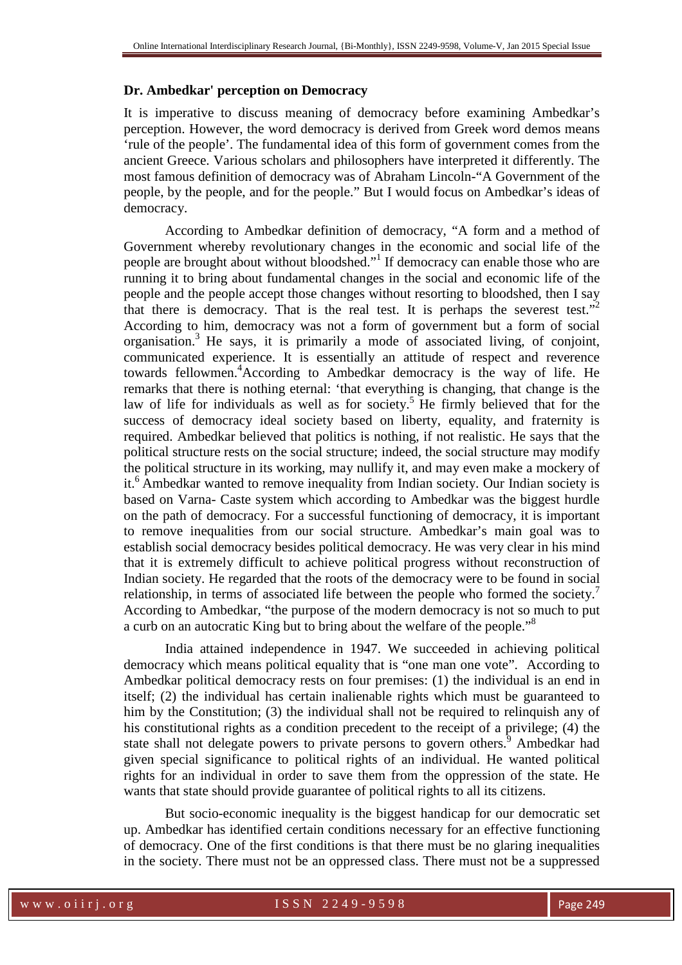# **Dr. Ambedkar' perception on Democracy**

It is imperative to discuss meaning of democracy before examining Ambedkar's perception. However, the word democracy is derived from Greek word demos means 'rule of the people'. The fundamental idea of this form of government comes from the ancient Greece. Various scholars and philosophers have interpreted it differently. The most famous definition of democracy was of Abraham Lincoln-"A Government of the people, by the people, and for the people." But I would focus on Ambedkar's ideas of democracy.

 According to Ambedkar definition of democracy, "A form and a method of Government whereby revolutionary changes in the economic and social life of the people are brought about without bloodshed."<sup>1</sup> If democracy can enable those who are running it to bring about fundamental changes in the social and economic life of the people and the people accept those changes without resorting to bloodshed, then I say that there is democracy. That is the real test. It is perhaps the severest test."<sup>2</sup> According to him, democracy was not a form of government but a form of social organisation.<sup>3</sup> He says, it is primarily a mode of associated living, of conjoint, communicated experience. It is essentially an attitude of respect and reverence towards fellowmen.<sup>4</sup>According to Ambedkar democracy is the way of life. He remarks that there is nothing eternal: 'that everything is changing, that change is the law of life for individuals as well as for society.<sup>5</sup> He firmly believed that for the success of democracy ideal society based on liberty, equality, and fraternity is required. Ambedkar believed that politics is nothing, if not realistic. He says that the political structure rests on the social structure; indeed, the social structure may modify the political structure in its working, may nullify it, and may even make a mockery of it.<sup>6</sup> Ambedkar wanted to remove inequality from Indian society. Our Indian society is based on Varna- Caste system which according to Ambedkar was the biggest hurdle on the path of democracy. For a successful functioning of democracy, it is important to remove inequalities from our social structure. Ambedkar's main goal was to establish social democracy besides political democracy. He was very clear in his mind that it is extremely difficult to achieve political progress without reconstruction of Indian society. He regarded that the roots of the democracy were to be found in social relationship, in terms of associated life between the people who formed the society.<sup>7</sup> According to Ambedkar, "the purpose of the modern democracy is not so much to put a curb on an autocratic King but to bring about the welfare of the people."<sup>8</sup>

India attained independence in 1947. We succeeded in achieving political democracy which means political equality that is "one man one vote". According to Ambedkar political democracy rests on four premises: (1) the individual is an end in itself; (2) the individual has certain inalienable rights which must be guaranteed to him by the Constitution; (3) the individual shall not be required to relinquish any of his constitutional rights as a condition precedent to the receipt of a privilege; (4) the state shall not delegate powers to private persons to govern others.<sup>9</sup> Ambedkar had given special significance to political rights of an individual. He wanted political rights for an individual in order to save them from the oppression of the state. He wants that state should provide guarantee of political rights to all its citizens.

But socio-economic inequality is the biggest handicap for our democratic set up. Ambedkar has identified certain conditions necessary for an effective functioning of democracy. One of the first conditions is that there must be no glaring inequalities in the society. There must not be an oppressed class. There must not be a suppressed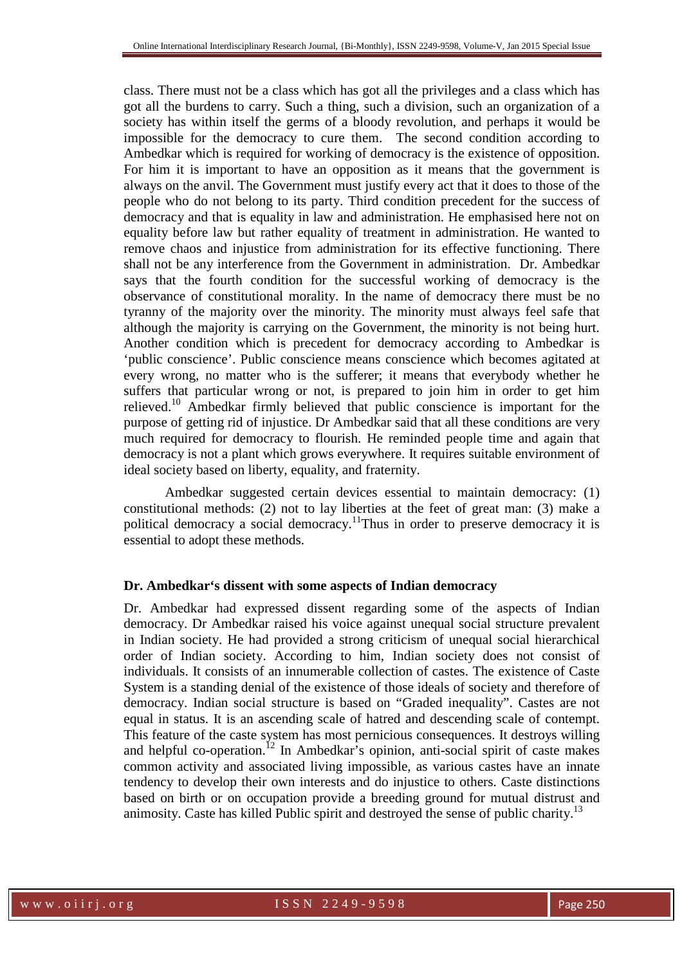class. There must not be a class which has got all the privileges and a class which has got all the burdens to carry. Such a thing, such a division, such an organization of a society has within itself the germs of a bloody revolution, and perhaps it would be impossible for the democracy to cure them. The second condition according to Ambedkar which is required for working of democracy is the existence of opposition. For him it is important to have an opposition as it means that the government is always on the anvil. The Government must justify every act that it does to those of the people who do not belong to its party. Third condition precedent for the success of democracy and that is equality in law and administration. He emphasised here not on equality before law but rather equality of treatment in administration. He wanted to remove chaos and injustice from administration for its effective functioning. There shall not be any interference from the Government in administration. Dr. Ambedkar says that the fourth condition for the successful working of democracy is the observance of constitutional morality. In the name of democracy there must be no tyranny of the majority over the minority. The minority must always feel safe that although the majority is carrying on the Government, the minority is not being hurt. Another condition which is precedent for democracy according to Ambedkar is 'public conscience'. Public conscience means conscience which becomes agitated at every wrong, no matter who is the sufferer; it means that everybody whether he suffers that particular wrong or not, is prepared to join him in order to get him relieved.<sup>10</sup> Ambedkar firmly believed that public conscience is important for the purpose of getting rid of injustice. Dr Ambedkar said that all these conditions are very much required for democracy to flourish. He reminded people time and again that democracy is not a plant which grows everywhere. It requires suitable environment of ideal society based on liberty, equality, and fraternity.

Ambedkar suggested certain devices essential to maintain democracy: (1) constitutional methods: (2) not to lay liberties at the feet of great man: (3) make a political democracy a social democracy.<sup>11</sup>Thus in order to preserve democracy it is essential to adopt these methods.

# **Dr. Ambedkar's dissent with some aspects of Indian democracy**

Dr. Ambedkar had expressed dissent regarding some of the aspects of Indian democracy. Dr Ambedkar raised his voice against unequal social structure prevalent in Indian society. He had provided a strong criticism of unequal social hierarchical order of Indian society. According to him, Indian society does not consist of individuals. It consists of an innumerable collection of castes. The existence of Caste System is a standing denial of the existence of those ideals of society and therefore of democracy. Indian social structure is based on "Graded inequality". Castes are not equal in status. It is an ascending scale of hatred and descending scale of contempt. This feature of the caste system has most pernicious consequences. It destroys willing and helpful co-operation.<sup>12</sup> In Ambedkar's opinion, anti-social spirit of caste makes common activity and associated living impossible, as various castes have an innate tendency to develop their own interests and do injustice to others. Caste distinctions based on birth or on occupation provide a breeding ground for mutual distrust and animosity. Caste has killed Public spirit and destroyed the sense of public charity.<sup>13</sup>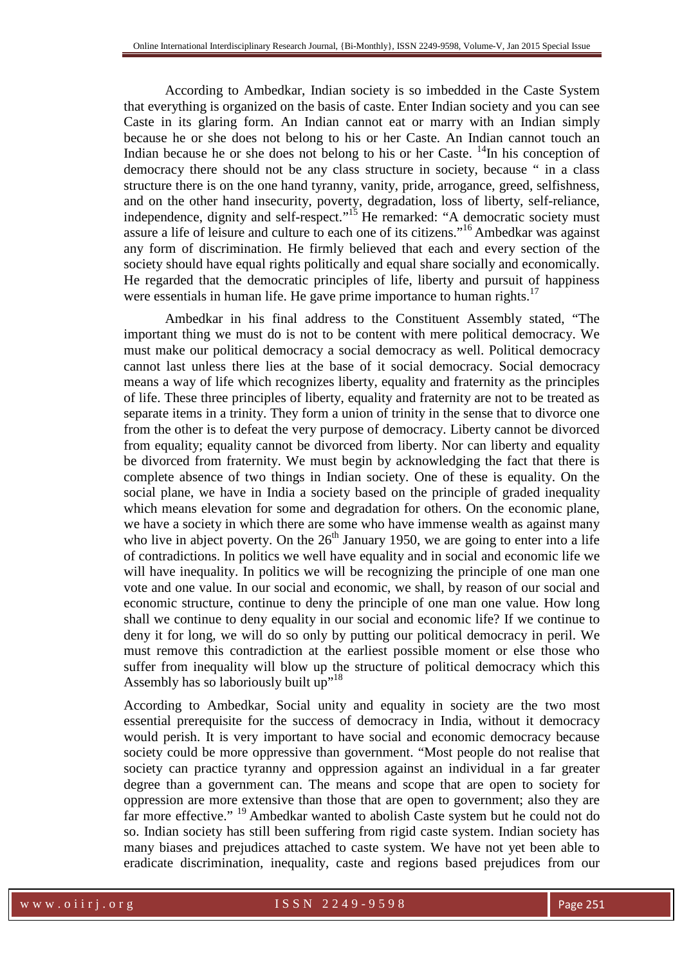According to Ambedkar, Indian society is so imbedded in the Caste System that everything is organized on the basis of caste. Enter Indian society and you can see Caste in its glaring form. An Indian cannot eat or marry with an Indian simply because he or she does not belong to his or her Caste. An Indian cannot touch an Indian because he or she does not belong to his or her Caste.  $\frac{14}{10}$  his conception of democracy there should not be any class structure in society, because " in a class structure there is on the one hand tyranny, vanity, pride, arrogance, greed, selfishness, and on the other hand insecurity, poverty, degradation, loss of liberty, self-reliance, independence, dignity and self-respect."<sup>15</sup> He remarked: "A democratic society must assure a life of leisure and culture to each one of its citizens."<sup>16</sup> Ambedkar was against any form of discrimination. He firmly believed that each and every section of the society should have equal rights politically and equal share socially and economically. He regarded that the democratic principles of life, liberty and pursuit of happiness were essentials in human life. He gave prime importance to human rights.<sup>17</sup>

 Ambedkar in his final address to the Constituent Assembly stated, "The important thing we must do is not to be content with mere political democracy. We must make our political democracy a social democracy as well. Political democracy cannot last unless there lies at the base of it social democracy. Social democracy means a way of life which recognizes liberty, equality and fraternity as the principles of life. These three principles of liberty, equality and fraternity are not to be treated as separate items in a trinity. They form a union of trinity in the sense that to divorce one from the other is to defeat the very purpose of democracy. Liberty cannot be divorced from equality; equality cannot be divorced from liberty. Nor can liberty and equality be divorced from fraternity. We must begin by acknowledging the fact that there is complete absence of two things in Indian society. One of these is equality. On the social plane, we have in India a society based on the principle of graded inequality which means elevation for some and degradation for others. On the economic plane, we have a society in which there are some who have immense wealth as against many who live in abject poverty. On the  $26<sup>th</sup>$  January 1950, we are going to enter into a life of contradictions. In politics we well have equality and in social and economic life we will have inequality. In politics we will be recognizing the principle of one man one vote and one value. In our social and economic, we shall, by reason of our social and economic structure, continue to deny the principle of one man one value. How long shall we continue to deny equality in our social and economic life? If we continue to deny it for long, we will do so only by putting our political democracy in peril. We must remove this contradiction at the earliest possible moment or else those who suffer from inequality will blow up the structure of political democracy which this Assembly has so laboriously built up"<sup>18</sup>

According to Ambedkar, Social unity and equality in society are the two most essential prerequisite for the success of democracy in India, without it democracy would perish. It is very important to have social and economic democracy because society could be more oppressive than government. "Most people do not realise that society can practice tyranny and oppression against an individual in a far greater degree than a government can. The means and scope that are open to society for oppression are more extensive than those that are open to government; also they are far more effective." <sup>19</sup> Ambedkar wanted to abolish Caste system but he could not do so. Indian society has still been suffering from rigid caste system. Indian society has many biases and prejudices attached to caste system. We have not yet been able to eradicate discrimination, inequality, caste and regions based prejudices from our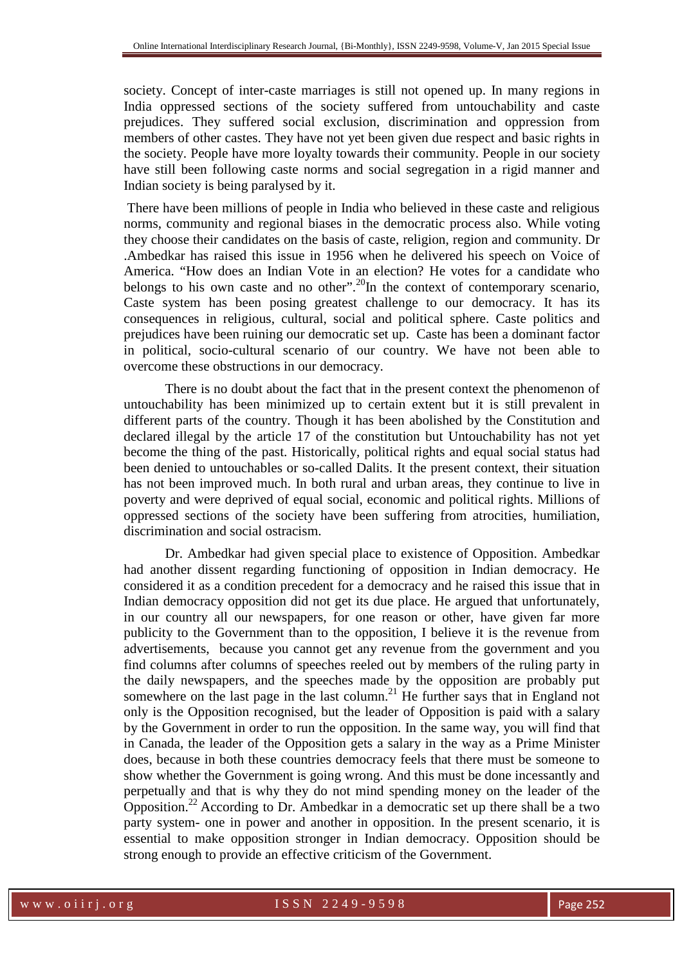society. Concept of inter-caste marriages is still not opened up. In many regions in India oppressed sections of the society suffered from untouchability and caste prejudices. They suffered social exclusion, discrimination and oppression from members of other castes. They have not yet been given due respect and basic rights in the society. People have more loyalty towards their community. People in our society have still been following caste norms and social segregation in a rigid manner and Indian society is being paralysed by it.

 There have been millions of people in India who believed in these caste and religious norms, community and regional biases in the democratic process also. While voting they choose their candidates on the basis of caste, religion, region and community. Dr .Ambedkar has raised this issue in 1956 when he delivered his speech on Voice of America. "How does an Indian Vote in an election? He votes for a candidate who belongs to his own caste and no other".<sup>20</sup>In the context of contemporary scenario, Caste system has been posing greatest challenge to our democracy. It has its consequences in religious, cultural, social and political sphere. Caste politics and prejudices have been ruining our democratic set up. Caste has been a dominant factor in political, socio-cultural scenario of our country. We have not been able to overcome these obstructions in our democracy.

There is no doubt about the fact that in the present context the phenomenon of untouchability has been minimized up to certain extent but it is still prevalent in different parts of the country. Though it has been abolished by the Constitution and declared illegal by the article 17 of the constitution but Untouchability has not yet become the thing of the past. Historically, political rights and equal social status had been denied to untouchables or so-called Dalits. It the present context, their situation has not been improved much. In both rural and urban areas, they continue to live in poverty and were deprived of equal social, economic and political rights. Millions of oppressed sections of the society have been suffering from atrocities, humiliation, discrimination and social ostracism.

Dr. Ambedkar had given special place to existence of Opposition. Ambedkar had another dissent regarding functioning of opposition in Indian democracy. He considered it as a condition precedent for a democracy and he raised this issue that in Indian democracy opposition did not get its due place. He argued that unfortunately, in our country all our newspapers, for one reason or other, have given far more publicity to the Government than to the opposition, I believe it is the revenue from advertisements, because you cannot get any revenue from the government and you find columns after columns of speeches reeled out by members of the ruling party in the daily newspapers, and the speeches made by the opposition are probably put somewhere on the last page in the last column.<sup>21</sup> He further says that in England not only is the Opposition recognised, but the leader of Opposition is paid with a salary by the Government in order to run the opposition. In the same way, you will find that in Canada, the leader of the Opposition gets a salary in the way as a Prime Minister does, because in both these countries democracy feels that there must be someone to show whether the Government is going wrong. And this must be done incessantly and perpetually and that is why they do not mind spending money on the leader of the Opposition.<sup>22</sup> According to Dr. Ambedkar in a democratic set up there shall be a two party system- one in power and another in opposition. In the present scenario, it is essential to make opposition stronger in Indian democracy. Opposition should be strong enough to provide an effective criticism of the Government.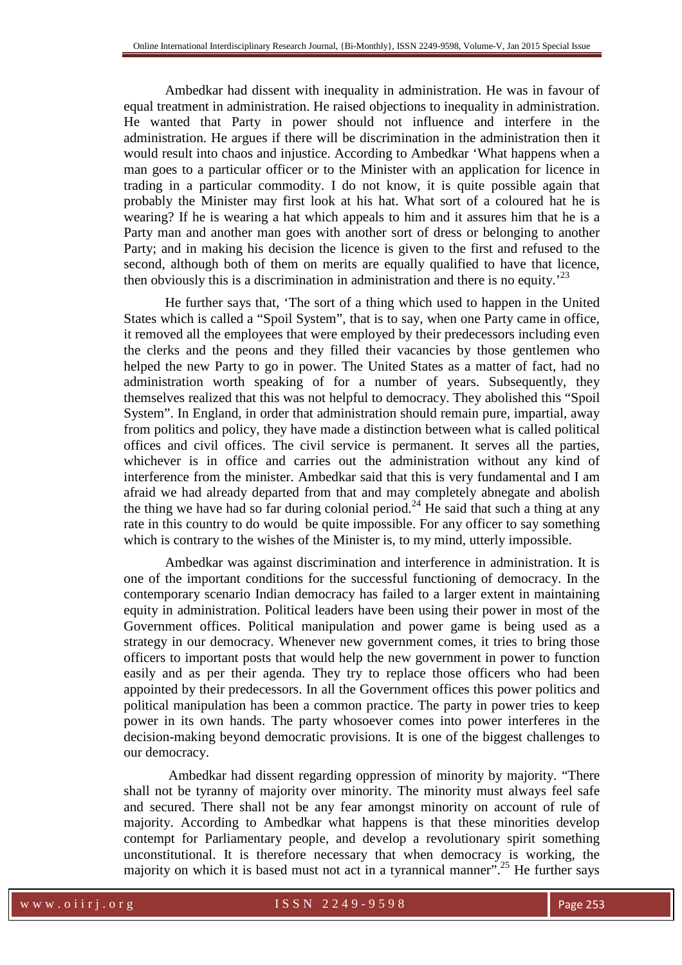Ambedkar had dissent with inequality in administration. He was in favour of equal treatment in administration. He raised objections to inequality in administration. He wanted that Party in power should not influence and interfere in the administration. He argues if there will be discrimination in the administration then it would result into chaos and injustice. According to Ambedkar 'What happens when a man goes to a particular officer or to the Minister with an application for licence in trading in a particular commodity. I do not know, it is quite possible again that probably the Minister may first look at his hat. What sort of a coloured hat he is wearing? If he is wearing a hat which appeals to him and it assures him that he is a Party man and another man goes with another sort of dress or belonging to another Party; and in making his decision the licence is given to the first and refused to the second, although both of them on merits are equally qualified to have that licence, then obviously this is a discrimination in administration and there is no equity.<sup> $23$ </sup>

He further says that, 'The sort of a thing which used to happen in the United States which is called a "Spoil System", that is to say, when one Party came in office, it removed all the employees that were employed by their predecessors including even the clerks and the peons and they filled their vacancies by those gentlemen who helped the new Party to go in power. The United States as a matter of fact, had no administration worth speaking of for a number of years. Subsequently, they themselves realized that this was not helpful to democracy. They abolished this "Spoil System". In England, in order that administration should remain pure, impartial, away from politics and policy, they have made a distinction between what is called political offices and civil offices. The civil service is permanent. It serves all the parties, whichever is in office and carries out the administration without any kind of interference from the minister. Ambedkar said that this is very fundamental and I am afraid we had already departed from that and may completely abnegate and abolish the thing we have had so far during colonial period.<sup>24</sup> He said that such a thing at any rate in this country to do would be quite impossible. For any officer to say something which is contrary to the wishes of the Minister is, to my mind, utterly impossible.

Ambedkar was against discrimination and interference in administration. It is one of the important conditions for the successful functioning of democracy. In the contemporary scenario Indian democracy has failed to a larger extent in maintaining equity in administration. Political leaders have been using their power in most of the Government offices. Political manipulation and power game is being used as a strategy in our democracy. Whenever new government comes, it tries to bring those officers to important posts that would help the new government in power to function easily and as per their agenda. They try to replace those officers who had been appointed by their predecessors. In all the Government offices this power politics and political manipulation has been a common practice. The party in power tries to keep power in its own hands. The party whosoever comes into power interferes in the decision-making beyond democratic provisions. It is one of the biggest challenges to our democracy.

 Ambedkar had dissent regarding oppression of minority by majority. "There shall not be tyranny of majority over minority. The minority must always feel safe and secured. There shall not be any fear amongst minority on account of rule of majority. According to Ambedkar what happens is that these minorities develop contempt for Parliamentary people, and develop a revolutionary spirit something unconstitutional. It is therefore necessary that when democracy is working, the majority on which it is based must not act in a tyrannical manner".<sup>25</sup> He further says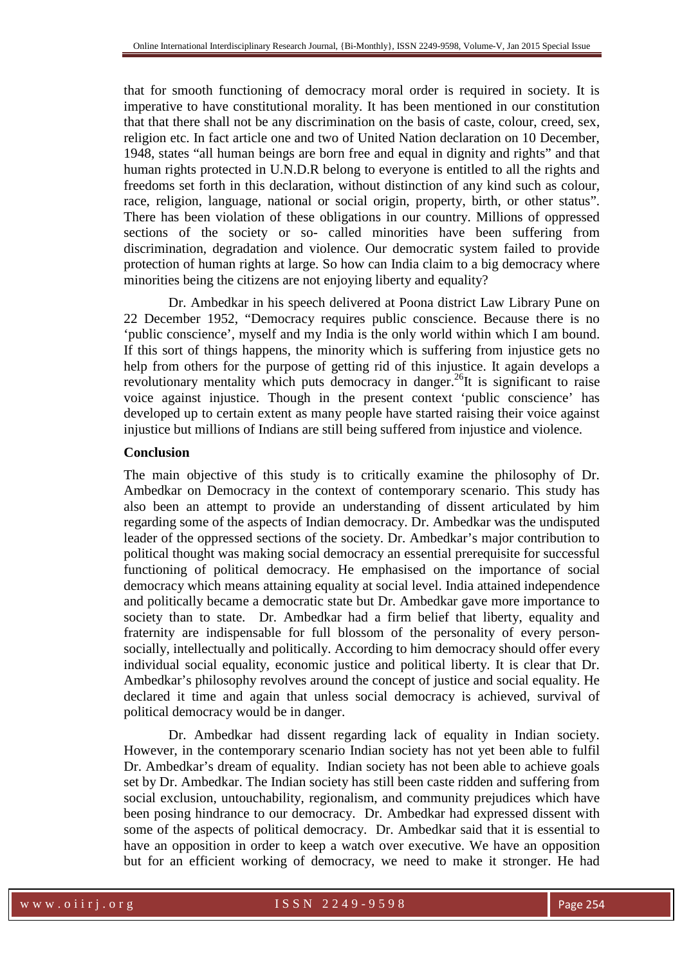that for smooth functioning of democracy moral order is required in society. It is imperative to have constitutional morality. It has been mentioned in our constitution that that there shall not be any discrimination on the basis of caste, colour, creed, sex, religion etc. In fact article one and two of United Nation declaration on 10 December, 1948, states "all human beings are born free and equal in dignity and rights" and that human rights protected in U.N.D.R belong to everyone is entitled to all the rights and freedoms set forth in this declaration, without distinction of any kind such as colour, race, religion, language, national or social origin, property, birth, or other status". There has been violation of these obligations in our country. Millions of oppressed sections of the society or so- called minorities have been suffering from discrimination, degradation and violence. Our democratic system failed to provide protection of human rights at large. So how can India claim to a big democracy where minorities being the citizens are not enjoying liberty and equality?

 Dr. Ambedkar in his speech delivered at Poona district Law Library Pune on 22 December 1952, "Democracy requires public conscience. Because there is no 'public conscience', myself and my India is the only world within which I am bound. If this sort of things happens, the minority which is suffering from injustice gets no help from others for the purpose of getting rid of this injustice. It again develops a revolutionary mentality which puts democracy in danger.<sup>26</sup>It is significant to raise voice against injustice. Though in the present context 'public conscience' has developed up to certain extent as many people have started raising their voice against injustice but millions of Indians are still being suffered from injustice and violence.

# **Conclusion**

The main objective of this study is to critically examine the philosophy of Dr. Ambedkar on Democracy in the context of contemporary scenario. This study has also been an attempt to provide an understanding of dissent articulated by him regarding some of the aspects of Indian democracy. Dr. Ambedkar was the undisputed leader of the oppressed sections of the society. Dr. Ambedkar's major contribution to political thought was making social democracy an essential prerequisite for successful functioning of political democracy. He emphasised on the importance of social democracy which means attaining equality at social level. India attained independence and politically became a democratic state but Dr. Ambedkar gave more importance to society than to state. Dr. Ambedkar had a firm belief that liberty, equality and fraternity are indispensable for full blossom of the personality of every personsocially, intellectually and politically. According to him democracy should offer every individual social equality, economic justice and political liberty. It is clear that Dr. Ambedkar's philosophy revolves around the concept of justice and social equality. He declared it time and again that unless social democracy is achieved, survival of political democracy would be in danger.

 Dr. Ambedkar had dissent regarding lack of equality in Indian society. However, in the contemporary scenario Indian society has not yet been able to fulfil Dr. Ambedkar's dream of equality. Indian society has not been able to achieve goals set by Dr. Ambedkar. The Indian society has still been caste ridden and suffering from social exclusion, untouchability, regionalism, and community prejudices which have been posing hindrance to our democracy. Dr. Ambedkar had expressed dissent with some of the aspects of political democracy. Dr. Ambedkar said that it is essential to have an opposition in order to keep a watch over executive. We have an opposition but for an efficient working of democracy, we need to make it stronger. He had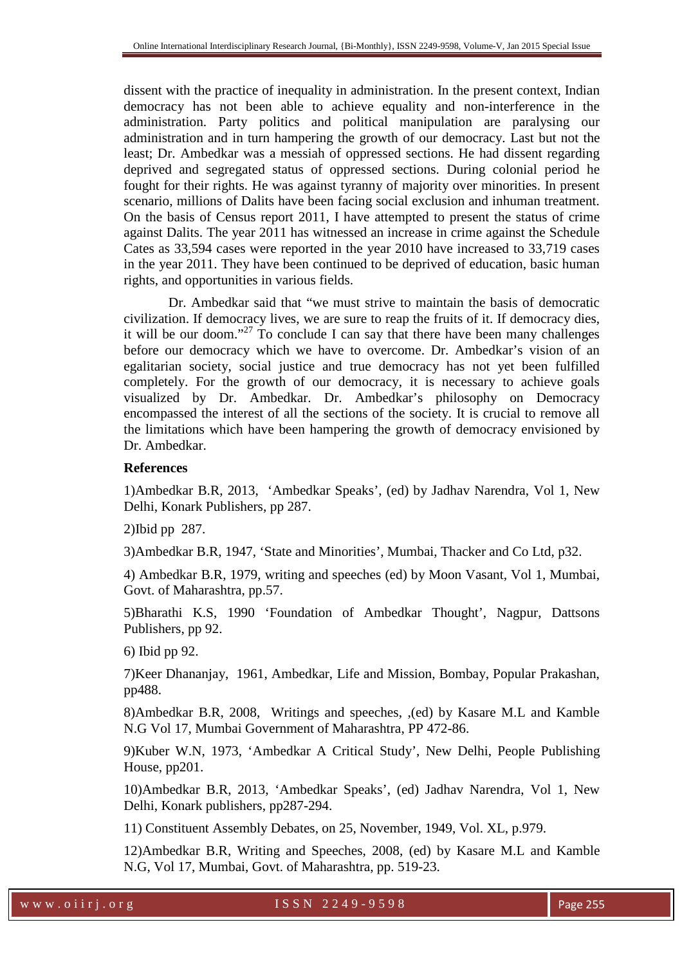dissent with the practice of inequality in administration. In the present context, Indian democracy has not been able to achieve equality and non-interference in the administration. Party politics and political manipulation are paralysing our administration and in turn hampering the growth of our democracy. Last but not the least; Dr. Ambedkar was a messiah of oppressed sections. He had dissent regarding deprived and segregated status of oppressed sections. During colonial period he fought for their rights. He was against tyranny of majority over minorities. In present scenario, millions of Dalits have been facing social exclusion and inhuman treatment. On the basis of Census report 2011, I have attempted to present the status of crime against Dalits. The year 2011 has witnessed an increase in crime against the Schedule Cates as 33,594 cases were reported in the year 2010 have increased to 33,719 cases in the year 2011. They have been continued to be deprived of education, basic human rights, and opportunities in various fields.

 Dr. Ambedkar said that "we must strive to maintain the basis of democratic civilization. If democracy lives, we are sure to reap the fruits of it. If democracy dies, it will be our doom."<sup>27</sup> To conclude I can say that there have been many challenges before our democracy which we have to overcome. Dr. Ambedkar's vision of an egalitarian society, social justice and true democracy has not yet been fulfilled completely. For the growth of our democracy, it is necessary to achieve goals visualized by Dr. Ambedkar. Dr. Ambedkar's philosophy on Democracy encompassed the interest of all the sections of the society. It is crucial to remove all the limitations which have been hampering the growth of democracy envisioned by Dr. Ambedkar.

# **References**

1)Ambedkar B.R, 2013, 'Ambedkar Speaks', (ed) by Jadhav Narendra, Vol 1, New Delhi, Konark Publishers, pp 287.

2)Ibid pp 287.

3)Ambedkar B.R, 1947, 'State and Minorities', Mumbai, Thacker and Co Ltd, p32.

4) Ambedkar B.R, 1979, writing and speeches (ed) by Moon Vasant, Vol 1, Mumbai, Govt. of Maharashtra, pp.57.

5)Bharathi K.S, 1990 'Foundation of Ambedkar Thought', Nagpur, Dattsons Publishers, pp 92.

6) Ibid pp 92.

7)Keer Dhananjay, 1961, Ambedkar, Life and Mission, Bombay, Popular Prakashan, pp488.

8)Ambedkar B.R, 2008, Writings and speeches, ,(ed) by Kasare M.L and Kamble N.G Vol 17, Mumbai Government of Maharashtra, PP 472-86.

9)Kuber W.N, 1973, 'Ambedkar A Critical Study', New Delhi, People Publishing House, pp201.

10)Ambedkar B.R, 2013, 'Ambedkar Speaks', (ed) Jadhav Narendra, Vol 1, New Delhi, Konark publishers, pp287-294.

11) Constituent Assembly Debates, on 25, November, 1949, Vol. XL, p.979.

12)Ambedkar B.R, Writing and Speeches, 2008, (ed) by Kasare M.L and Kamble N.G, Vol 17, Mumbai, Govt. of Maharashtra, pp. 519-23.

w w w . o i i r j . o r g d and the set of S S N 2 2 4 9 - 9 5 9 8 Page 255